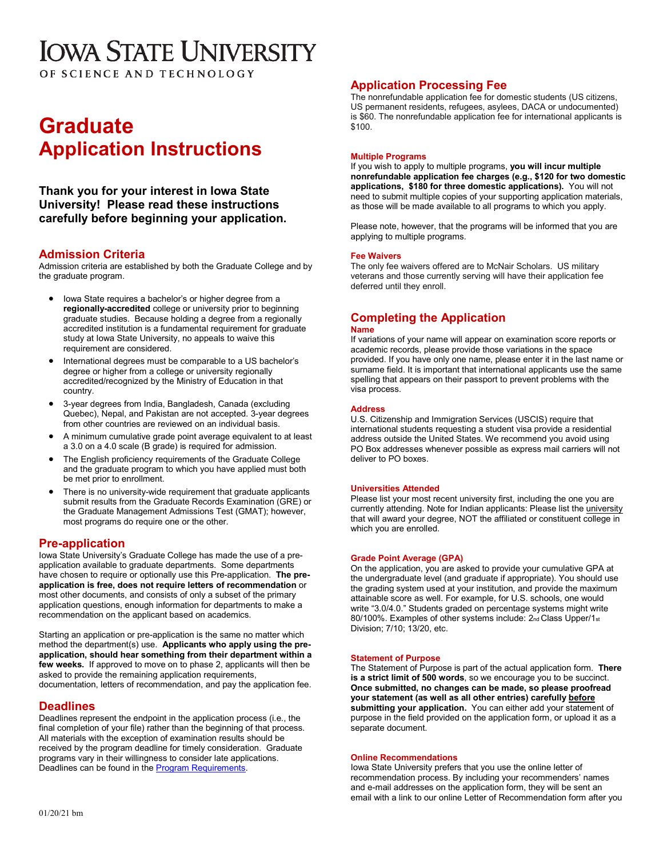# **IOWA STATE UNIVERSITY**

OF SCIENCE AND TECHNOLOGY

# **Graduate Application Instructions**

**Thank you for your interest in Iowa State University! Please read these instructions carefully before beginning your application.**

# **Admission Criteria**

Admission criteria are established by both the Graduate College and by the graduate program.

- Iowa State requires a bachelor's or higher degree from a **regionally-accredited** college or university prior to beginning graduate studies. Because holding a degree from a regionally accredited institution is a fundamental requirement for graduate study at Iowa State University, no appeals to waive this requirement are considered.
- International degrees must be comparable to a US bachelor's degree or higher from a college or university regionally accredited/recognized by the Ministry of Education in that country.
- 3-year degrees from India, Bangladesh, Canada (excluding Quebec), Nepal, and Pakistan are not accepted. 3-year degrees from other countries are reviewed on an individual basis.
- A minimum cumulative grade point average equivalent to at least a 3.0 on a 4.0 scale (B grade) is required for admission.
- The English proficiency requirements of the Graduate College and the graduate program to which you have applied must both be met prior to enrollment.
- There is no university-wide requirement that graduate applicants submit results from the Graduate Records Examination (GRE) or the Graduate Management Admissions Test (GMAT); however, most programs do require one or the other.

# **Pre-application**

Iowa State University's Graduate College has made the use of a preapplication available to graduate departments. Some departments have chosen to require or optionally use this Pre-application. **The preapplication is free, does not require letters of recommendation** or most other documents, and consists of only a subset of the primary application questions, enough information for departments to make a recommendation on the applicant based on academics.

Starting an application or pre-application is the same no matter which method the department(s) use. **Applicants who apply using the preapplication, should hear something from their department within a few weeks.** If approved to move on to phase 2, applicants will then be asked to provide the remaining application requirements, documentation, letters of recommendation, and pay the application fee.

# **Deadlines**

Deadlines represent the endpoint in the application process (i.e., the final completion of your file) rather than the beginning of that process. All materials with the exception of examination results should be received by the program deadline for timely consideration. Graduate programs vary in their willingness to consider late applications. Deadlines can be found in the [Program Requirements.](http://www.grad-college.iastate.edu/academics/programs/apprograms.php)

# **Application Processing Fee**

The nonrefundable application fee for domestic students (US citizens, US permanent residents, refugees, asylees, DACA or undocumented) is \$60. The nonrefundable application fee for international applicants is \$100.

#### **Multiple Programs**

If you wish to apply to multiple programs, **you will incur multiple nonrefundable application fee charges (e.g., \$120 for two domestic applications, \$180 for three domestic applications).** You will not need to submit multiple copies of your supporting application materials, as those will be made available to all programs to which you apply.

Please note, however, that the programs will be informed that you are applying to multiple programs.

### **Fee Waivers**

The only fee waivers offered are to McNair Scholars. US military veterans and those currently serving will have their application fee deferred until they enroll.

# **Completing the Application**

#### **Name**

If variations of your name will appear on examination score reports or academic records, please provide those variations in the space provided. If you have only one name, please enter it in the last name or surname field. It is important that international applicants use the same spelling that appears on their passport to prevent problems with the visa process.

### **Address**

U.S. Citizenship and Immigration Services (USCIS) require that international students requesting a student visa provide a residential address outside the United States. We recommend you avoid using PO Box addresses whenever possible as express mail carriers will not deliver to PO boxes.

#### **Universities Attended**

Please list your most recent university first, including the one you are currently attending. Note for Indian applicants: Please list the university that will award your degree, NOT the affiliated or constituent college in which you are enrolled.

#### **Grade Point Average (GPA)**

On the application, you are asked to provide your cumulative GPA at the undergraduate level (and graduate if appropriate). You should use the grading system used at your institution, and provide the maximum attainable score as well. For example, for U.S. schools, one would write "3.0/4.0." Students graded on percentage systems might write 80/100%. Examples of other systems include: 2nd Class Upper/1st Division; 7/10; 13/20, etc.

#### **Statement of Purpose**

The Statement of Purpose is part of the actual application form. **There is a strict limit of 500 words**, so we encourage you to be succinct. **Once submitted, no changes can be made, so please proofread your statement (as well as all other entries) carefully before submitting your application.** You can either add your statement of purpose in the field provided on the application form, or upload it as a separate document.

#### **Online Recommendations**

Iowa State University prefers that you use the online letter of recommendation process. By including your recommenders' names and e-mail addresses on the application form, they will be sent an email with a link to our online Letter of Recommendation form after you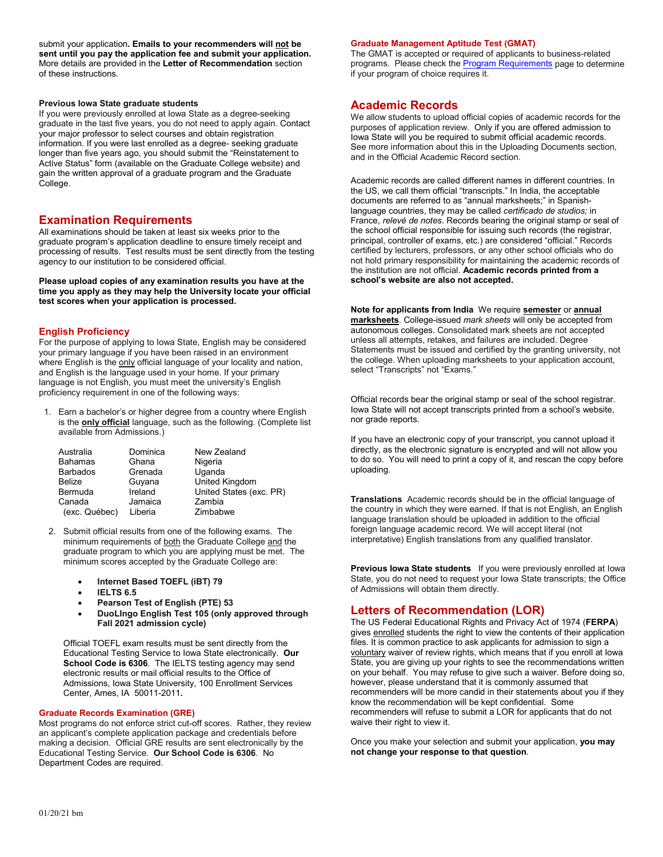submit your application. Emails to your recommenders will not be **sent until you pay the application fee and submit your application.**  More details are provided in the **Letter of Recommendation** section of these instructions.

#### **Previous Iowa State graduate students**

If you were previously enrolled at Iowa State as a degree-seeking graduate in the last five years, you do not need to apply again. Contact your major professor to select courses and obtain registration information. If you were last enrolled as a degree- seeking graduate longer than five years ago, you should submit the "Reinstatement to Active Status" form (available on the Graduate College website) and gain the written approval of a graduate program and the Graduate College.

### **Examination Requirements**

All examinations should be taken at least six weeks prior to the graduate program's application deadline to ensure timely receipt and processing of results. Test results must be sent directly from the testing agency to our institution to be considered official.

**Please upload copies of any examination results you have at the time you apply as they may help the University locate your official test scores when your application is processed.** 

#### **English Proficiency**

For the purpose of applying to Iowa State, English may be considered your primary language if you have been raised in an environment where English is the only official language of your locality and nation, and English is the language used in your home. If your primary language is not English, you must meet the university's English proficiency requirement in one of the following ways:

1. Earn a bachelor's or higher degree from a country where English is the **only official** language, such as the following. (Complete list available from Admissions.)

| Australia       | Dominica | New Zealand             |
|-----------------|----------|-------------------------|
| <b>Bahamas</b>  | Ghana    | Nigeria                 |
| <b>Barbados</b> | Grenada  | Uganda                  |
| <b>Belize</b>   | Guyana   | United Kingdom          |
| Bermuda         | Ireland  | United States (exc. PR) |
| Canada          | Jamaica  | Zambia                  |
| (exc. Québec)   | Liberia  | Zimbabwe                |

- 2. Submit official results from one of the following exams. The minimum requirements of both the Graduate College and the graduate program to which you are applying must be met. The minimum scores accepted by the Graduate College are:
	- **Internet Based TOEFL (iBT) 79**
	- **IELTS 6.5**
	- **Pearson Test of English (PTE) 53**
	- **DuoLIngo English Test 105 (only approved through Fall 2021 admission cycle)**

Official TOEFL exam results must be sent directly from the Educational Testing Service to Iowa State electronically. **Our School Code is 6306**. The IELTS testing agency may send electronic results or mail official results to the Office of Admissions, Iowa State University, 100 Enrollment Services Center, Ames, IA 50011-2011**.** 

#### **Graduate Records Examination (GRE)**

Most programs do not enforce strict cut-off scores. Rather, they review an applicant's complete application package and credentials before making a decision. Official GRE results are sent electronically by the Educational Testing Service. **Our School Code is 6306**. No Department Codes are required.

#### **Graduate Management Aptitude Test (GMAT)**

The GMAT is accepted or required of applicants to business-related programs. Please check the **Program Requirements** page to determine if your program of choice requires it.

### **Academic Records**

We allow students to upload official copies of academic records for the purposes of application review. Only if you are offered admission to Iowa State will you be required to submit official academic records. See more information about this in the Uploading Documents section, and in the Official Academic Record section.

Academic records are called different names in different countries. In the US, we call them official "transcripts." In India, the acceptable documents are referred to as "annual marksheets;" in Spanishlanguage countries, they may be called *certificado de studios;* in France, *relevé de notes*. Records bearing the original stamp or seal of the school official responsible for issuing such records (the registrar, principal, controller of exams, etc.) are considered "official." Records certified by lecturers, professors, or any other school officials who do not hold primary responsibility for maintaining the academic records of the institution are not official. **Academic records printed from a school's website are also not accepted.** 

**Note for applicants from India** We require **semester** or **annual marksheets**. College-issued *mark sheets* will only be accepted from autonomous colleges. Consolidated mark sheets are not accepted unless all attempts, retakes, and failures are included. Degree Statements must be issued and certified by the granting university, not the college. When uploading marksheets to your application account, select "Transcripts" not "Exams."

Official records bear the original stamp or seal of the school registrar. Iowa State will not accept transcripts printed from a school's website, nor grade reports.

If you have an electronic copy of your transcript, you cannot upload it directly, as the electronic signature is encrypted and will not allow you to do so. You will need to print a copy of it, and rescan the copy before uploading.

**Translations** Academic records should be in the official language of the country in which they were earned. If that is not English, an English language translation should be uploaded in addition to the official foreign language academic record. We will accept literal (not interpretative) English translations from any qualified translator.

**Previous Iowa State students** If you were previously enrolled at Iowa State, you do not need to request your Iowa State transcripts; the Office of Admissions will obtain them directly.

# **Letters of Recommendation (LOR)**

The US Federal Educational Rights and Privacy Act of 1974 (**FERPA**) gives enrolled students the right to view the contents of their application files. It is common practice to ask applicants for admission to sign a voluntary waiver of review rights, which means that if you enroll at lowa State, you are giving up your rights to see the recommendations written on your behalf. You may refuse to give such a waiver. Before doing so, however, please understand that it is commonly assumed that recommenders will be more candid in their statements about you if they know the recommendation will be kept confidential. Some recommenders will refuse to submit a LOR for applicants that do not waive their right to view it.

Once you make your selection and submit your application, **you may not change your response to that question**.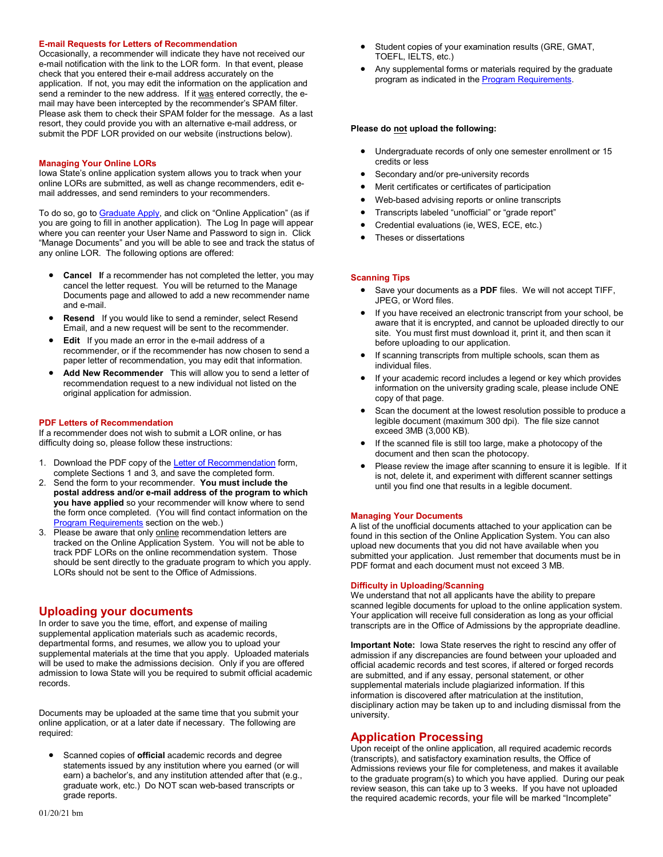#### **E-mail Requests for Letters of Recommendation**

Occasionally, a recommender will indicate they have not received our e-mail notification with the link to the LOR form. In that event, please check that you entered their e-mail address accurately on the application. If not, you may edit the information on the application and send a reminder to the new address. If it was entered correctly, the email may have been intercepted by the recommender's SPAM filter. Please ask them to check their SPAM folder for the message. As a last resort, they could provide you with an alternative e-mail address, or submit the PDF LOR provided on our website (instructions below).

#### **Managing Your Online LORs**

Iowa State's online application system allows you to track when your online LORs are submitted, as well as change recommenders, edit email addresses, and send reminders to your recommenders.

To do so, go t[o Graduate Apply,](http://www.admissions.iastate.edu/apply/graduate.php) and click on "Online Application" (as if you are going to fill in another application). The Log In page will appear where you can reenter your User Name and Password to sign in. Click "Manage Documents" and you will be able to see and track the status of any online LOR. The following options are offered:

- **Cancel I**f a recommender has not completed the letter, you may cancel the letter request. You will be returned to the Manage Documents page and allowed to add a new recommender name and e-mail.
- **Resend** If you would like to send a reminder, select Resend Email, and a new request will be sent to the recommender.
- **Edit** If you made an error in the e-mail address of a recommender, or if the recommender has now chosen to send a paper letter of recommendation, you may edit that information.
- **Add New Recommender** This will allow you to send a letter of recommendation request to a new individual not listed on the original application for admission.

#### **PDF Letters of Recommendation**

If a recommender does not wish to submit a LOR online, or has difficulty doing so, please follow these instructions:

- 1. Download the PDF copy of th[e Letter of Recommendation](http://www.admissions.iastate.edu/global/pdf_download.php?pdf=/apply/pdf/gr_ltr_rec.pdf) form,
- complete Sections 1 and 3, and save the completed form. 2. Send the form to your recommender. **You must include the postal address and/or e-mail address of the program to which you have applied** so your recommender will know where to send the form once completed. (You will find contact information on the [Program Requirements](http://www.grad-college.iastate.edu/academics/programs/apprograms.php) section on the web.)
- 3. Please be aware that only online recommendation letters are tracked on the Online Application System. You will not be able to track PDF LORs on the online recommendation system. Those should be sent directly to the graduate program to which you apply. LORs should not be sent to the Office of Admissions.

# **Uploading your documents**

In order to save you the time, effort, and expense of mailing supplemental application materials such as academic records, departmental forms, and resumes, we allow you to upload your supplemental materials at the time that you apply. Uploaded materials will be used to make the admissions decision. Only if you are offered admission to Iowa State will you be required to submit official academic records.

Documents may be uploaded at the same time that you submit your online application, or at a later date if necessary. The following are required:

• Scanned copies of **official** academic records and degree statements issued by any institution where you earned (or will earn) a bachelor's, and any institution attended after that (e.g., graduate work, etc.) Do NOT scan web-based transcripts or grade reports.

- Student copies of your examination results (GRE, GMAT, TOEFL, IELTS, etc.)
- Any supplemental forms or materials required by the graduate program as indicated in the **Program Requirements**.

#### **Please do not upload the following:**

- Undergraduate records of only one semester enrollment or 15 credits or less
- Secondary and/or pre-university records
- Merit certificates or certificates of participation
- Web-based advising reports or online transcripts
- Transcripts labeled "unofficial" or "grade report"
- Credential evaluations (ie, WES, ECE, etc.)
- Theses or dissertations

#### **Scanning Tips**

- Save your documents as a **PDF** files. We will not accept TIFF, JPEG, or Word files.
- If you have received an electronic transcript from your school, be aware that it is encrypted, and cannot be uploaded directly to our site. You must first must download it, print it, and then scan it before uploading to our application.
- If scanning transcripts from multiple schools, scan them as individual files.
- If your academic record includes a legend or key which provides information on the university grading scale, please include ONE copy of that page.
- Scan the document at the lowest resolution possible to produce a legible document (maximum 300 dpi). The file size cannot exceed 3MB (3,000 KB).
- If the scanned file is still too large, make a photocopy of the document and then scan the photocopy.
- Please review the image after scanning to ensure it is legible. If it is not, delete it, and experiment with different scanner settings until you find one that results in a legible document.

#### **Managing Your Documents**

A list of the unofficial documents attached to your application can be found in this section of the Online Application System. You can also upload new documents that you did not have available when you submitted your application. Just remember that documents must be in PDF format and each document must not exceed 3 MB.

#### **Difficulty in Uploading/Scanning**

We understand that not all applicants have the ability to prepare scanned legible documents for upload to the online application system. Your application will receive full consideration as long as your official transcripts are in the Office of Admissions by the appropriate deadline.

**Important Note:** Iowa State reserves the right to rescind any offer of admission if any discrepancies are found between your uploaded and official academic records and test scores, if altered or forged records are submitted, and if any essay, personal statement, or other supplemental materials include plagiarized information. If this information is discovered after matriculation at the institution, disciplinary action may be taken up to and including dismissal from the university.

# **Application Processing**

Upon receipt of the online application, all required academic records (transcripts), and satisfactory examination results, the Office of Admissions reviews your file for completeness, and makes it available to the graduate program(s) to which you have applied. During our peak review season, this can take up to 3 weeks. If you have not uploaded the required academic records, your file will be marked "Incomplete"